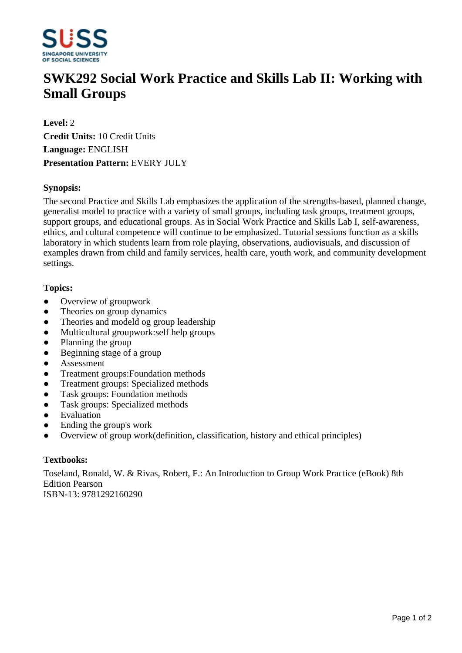

# **SWK292 Social Work Practice and Skills Lab II: Working with Small Groups**

**Level:** 2 **Credit Units:** 10 Credit Units **Language:** ENGLISH **Presentation Pattern:** EVERY JULY

## **Synopsis:**

The second Practice and Skills Lab emphasizes the application of the strengths-based, planned change, generalist model to practice with a variety of small groups, including task groups, treatment groups, support groups, and educational groups. As in Social Work Practice and Skills Lab I, self-awareness, ethics, and cultural competence will continue to be emphasized. Tutorial sessions function as a skills laboratory in which students learn from role playing, observations, audiovisuals, and discussion of examples drawn from child and family services, health care, youth work, and community development settings.

### **Topics:**

- Overview of groupwork
- Theories on group dynamics
- Theories and modeld og group leadership
- Multicultural groupwork:self help groups
- ƔPlanning the group
- $\bullet$  Beginning stage of a group
- ƔAssessment
- Treatment groups: Foundation methods
- ƔTreatment groups: Specialized methods
- Task groups: Foundation methods
- Task groups: Specialized methods
- Evaluation
- Ending the group's work
- ƔOverview of group work(definition, classification, history and ethical principles)

### **Textbooks:**

Toseland, Ronald, W. & Rivas, Robert, F.: An Introduction to Group Work Practice (eBook) 8th Edition Pearson ISBN-13: 9781292160290